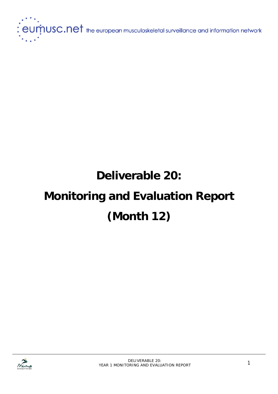

# **Deliverable 20: Monitoring and Evaluation Report (Month 12)**

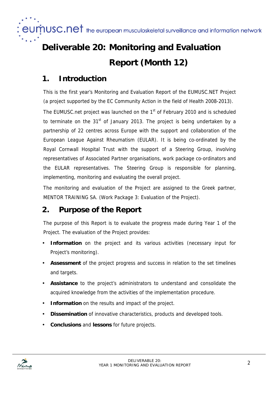$e$ U $\dot{\text{m}}$ USC.net the european musculoskeletal surveillance and information network

## **Deliverable 20: Monitoring and Evaluation Report (Month 12)**

## **1. Introduction**

This is the first year's Monitoring and Evaluation Report of the EUMUSC.NET Project (a project supported by the EC Community Action in the field of Health 2008-2013).

The EUMUSC.net project was launched on the 1<sup>st</sup> of February 2010 and is scheduled to terminate on the  $31<sup>st</sup>$  of January 2013. The project is being undertaken by a partnership of 22 centres across Europe with the support and collaboration of the European League Against Rheumatism (EULAR). It is being co-ordinated by the Royal Cornwall Hospital Trust with the support of a Steering Group, involving representatives of Associated Partner organisations, work package co-ordinators and the EULAR representatives. The Steering Group is responsible for planning, implementing, monitoring and evaluating the overall project.

The monitoring and evaluation of the Project are assigned to the Greek partner, MENTOR TRAINING SA. (Work Package 3: Evaluation of the Project).

## **2. Purpose of the Report**

The purpose of this Report is to evaluate the progress made during Year 1 of the Project. The evaluation of the Project provides:

- **Information** on the project and its various activities (necessary input for Project's monitoring).
- **Assessment** of the project progress and success in relation to the set timelines and targets.
- **Assistance** to the project's administrators to understand and consolidate the acquired knowledge from the activities of the implementation procedure.
- **Information** on the results and impact of the project.
- **Dissemination** of innovative characteristics, products and developed tools.
- **Conclusions** and **lessons** for future projects.

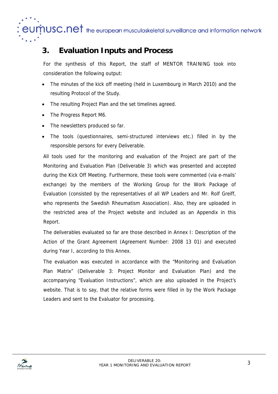$J\dot{\mathsf{M}}$ USC.Net the european musculoskeletal surveillance and information network

## **3. Evaluation Inputs and Process**

For the synthesis of this Report, the staff of MENTOR TRAINING took into consideration the following output:

- The minutes of the kick off meeting (held in Luxembourg in March 2010) and the resulting Protocol of the Study.
- The resulting Project Plan and the set timelines agreed.
- The Progress Report M6.
- The newsletters produced so far.
- The tools (questionnaires, semi-structured interviews etc.) filled in by the responsible persons for every Deliverable.

All tools used for the monitoring and evaluation of the Project are part of the Monitoring and Evaluation Plan (Deliverable 3) which was presented and accepted during the Kick Off Meeting. Furthermore, these tools were commented (via e-mails' exchange) by the members of the Working Group for the Work Package of Evaluation (consisted by the representatives of all WP Leaders and Mr. Rolf Greiff, who represents the Swedish Rheumatism Association). Also, they are uploaded in the restricted area of the Project website and included as an Appendix in this Report.

The deliverables evaluated so far are those described in Annex I: Description of the Action of the Grant Agreement (Agreement Number: 2008 13 01) and executed during Year I, according to this Annex.

The evaluation was executed in accordance with the "Monitoring and Evaluation Plan Matrix" (Deliverable 3: Project Monitor and Evaluation Plan) and the accompanying "Evaluation Instructions", which are also uploaded in the Project's website. That is to say, that the relative forms were filled in by the Work Package Leaders and sent to the Evaluator for processing.

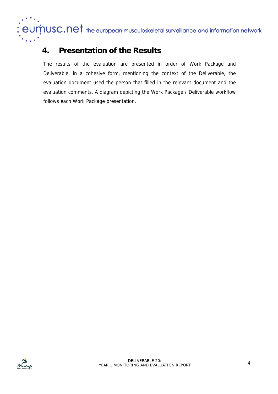$J\dot{M}$ USC.Net the european musculoskeletal surveillance and information network el

## **4. Presentation of the Results**

The results of the evaluation are presented in order of Work Package and Deliverable, in a cohesive form, mentioning the context of the Deliverable, the evaluation document used the person that filled in the relevant document and the evaluation comments. A diagram depicting the Work Package / Deliverable workflow follows each Work Package presentation.

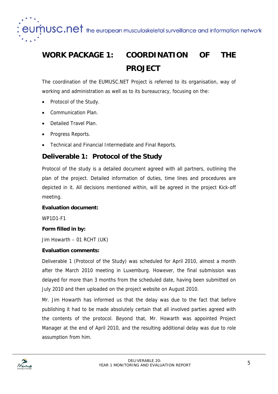$\boldsymbol{\dot{\eta}}$ USC.Ne $\boldsymbol{\dagger}$  the european musculoskeletal surveillance and information network

## **WORK PACKAGE 1: COORDINATION OF THE PROJECT**

The coordination of the EUMUSC.NET Project is referred to its organisation, way of working and administration as well as to its bureaucracy, focusing on the:

- Protocol of the Study.
- Communication Plan.
- Detailed Travel Plan.
- Progress Reports.
- Technical and Financial Intermediate and Final Reports.

## **Deliverable 1: Protocol of the Study**

Protocol of the study is a detailed document agreed with all partners, outlining the plan of the project. Detailed information of duties, time lines and procedures are depicted in it. All decisions mentioned within, will be agreed in the project Kick-off meeting.

#### **Evaluation document:**

WP1D1-F1

## **Form filled in by:**

Jim Howarth – 01 RCHT (UK)

## **Evaluation comments:**

Deliverable 1 (Protocol of the Study) was scheduled for April 2010, almost a month after the March 2010 meeting in Luxemburg. However, the final submission was delayed for more than 3 months from the scheduled date, having been submitted on July 2010 and then uploaded on the project website on August 2010.

Mr. Jim Howarth has informed us that the delay was due to the fact that before publishing it had to be made absolutely certain that all involved parties agreed with the contents of the protocol. Beyond that, Mr. Howarth was appointed Project Manager at the end of April 2010, and the resulting additional delay was due to role assumption from him.

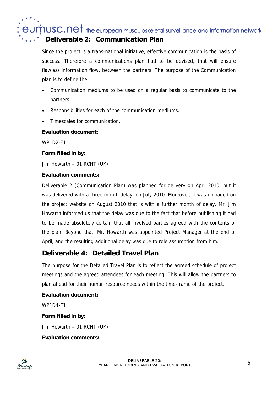$\boldsymbol{\dot{\eta}}$ USC.Net the european musculoskeletal surveillance and information network

## **Deliverable 2: Communication Plan**

Since the project is a trans-national initiative, effective communication is the basis of success. Therefore a communications plan had to be devised, that will ensure flawless information flow, between the partners. The purpose of the Communication plan is to define the:

- Communication mediums to be used on a regular basis to communicate to the partners.
- Responsibilities for each of the communication mediums.
- Timescales for communication.

## **Evaluation document:**

WP1D2-F1

## **Form filled in by:**

Jim Howarth – 01 RCHT (UK)

## **Evaluation comments:**

Deliverable 2 (Communication Plan) was planned for delivery on April 2010, but it was delivered with a three month delay, on July 2010. Moreover, it was uploaded on the project website on August 2010 that is with a further month of delay. Mr. Jim Howarth informed us that the delay was due to the fact that before publishing it had to be made absolutely certain that all involved parties agreed with the contents of the plan. Beyond that, Mr. Howarth was appointed Project Manager at the end of April, and the resulting additional delay was due to role assumption from him.

## **Deliverable 4: Detailed Travel Plan**

The purpose for the Detailed Travel Plan is to reflect the agreed schedule of project meetings and the agreed attendees for each meeting. This will allow the partners to plan ahead for their human resource needs within the time-frame of the project.

## **Evaluation document:**

WP1D4-F1

**Form filled in by:** 

Jim Howarth – 01 RCHT (UK)

## **Evaluation comments:**

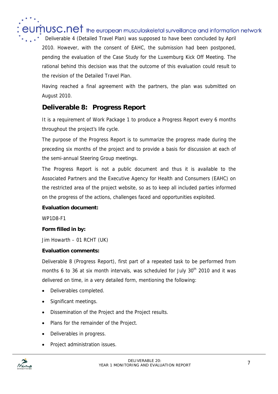$\mathop{\mathsf{DUSC.ne1}}$  the european musculoskeletal surveillance and information network

Deliverable 4 (Detailed Travel Plan) was supposed to have been concluded by April 2010. However, with the consent of EAHC, the submission had been postponed, pending the evaluation of the Case Study for the Luxemburg Kick Off Meeting. The rational behind this decision was that the outcome of this evaluation could result to the revision of the Detailed Travel Plan.

Having reached a final agreement with the partners, the plan was submitted on August 2010.

## **Deliverable 8: Progress Report**

It is a requirement of Work Package 1 to produce a Progress Report every 6 months throughout the project's life cycle.

The purpose of the Progress Report is to summarize the progress made during the preceding six months of the project and to provide a basis for discussion at each of the semi-annual Steering Group meetings.

The Progress Report is not a public document and thus it is available to the Associated Partners and the Executive Agency for Health and Consumers (EAHC) on the restricted area of the project website, so as to keep all included parties informed on the progress of the actions, challenges faced and opportunities exploited.

## **Evaluation document:**

WP1D8-F1

## **Form filled in by:**

Jim Howarth – 01 RCHT (UK)

## **Evaluation comments:**

Deliverable 8 (Progress Report), first part of a repeated task to be performed from months 6 to 36 at six month intervals, was scheduled for July  $30<sup>th</sup>$  2010 and it was delivered on time, in a very detailed form, mentioning the following:

- Deliverables completed.
- Significant meetings.
- Dissemination of the Project and the Project results.
- Plans for the remainder of the Project.
- Deliverables in progress.
- Project administration issues.

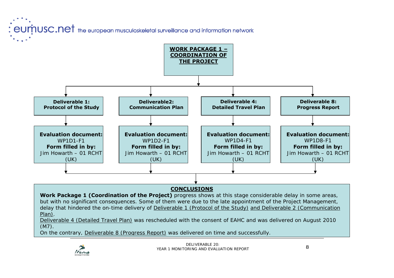: eumusc.net the european musculoskeletal surveillance and information network



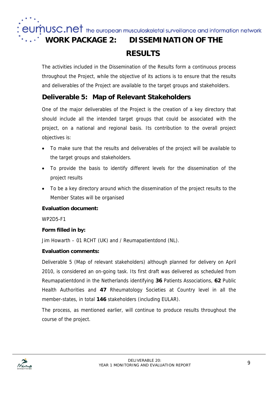$\boldsymbol{\dot{p}}$ USC.Ne $\boldsymbol{\dot{r}}$  the european musculoskeletal surveillance and information network

## **WORK PACKAGE 2: DISSEMINATION OF THE**

## **RESULTS**

The activities included in the Dissemination of the Results form a continuous process throughout the Project, while the objective of its actions is to ensure that the results and deliverables of the Project are available to the target groups and stakeholders.

## **Deliverable 5: Map of Relevant Stakeholders**

One of the major deliverables of the Project is the creation of a key directory that should include all the intended target groups that could be associated with the project, on a national and regional basis. Its contribution to the overall project objectives is:

- To make sure that the results and deliverables of the project will be available to the target groups and stakeholders.
- To provide the basis to identify different levels for the dissemination of the project results
- To be a key directory around which the dissemination of the project results to the Member States will be organised

## **Evaluation document:**

WP2D5-F1

## **Form filled in by:**

Jim Howarth – 01 RCHT (UK) and / Reumapatientdond (NL).

## **Evaluation comments:**

Deliverable 5 (Map of relevant stakeholders) although planned for delivery on April 2010, is considered an on-going task. Its first draft was delivered as scheduled from Reumapatientdond in the Netherlands identifying **36** Patients Associations, **62** Public Health Authorities and **47** Rheumatology Societies at Country level in all the member-states, in total **146** stakeholders (including EULAR).

The process, as mentioned earlier, will continue to produce results throughout the course of the project.

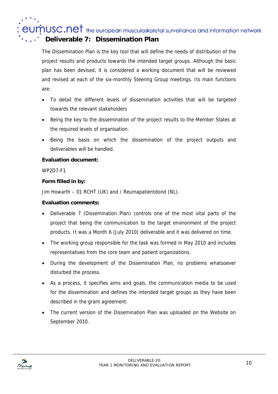$\mathop{\text{ind}}$  the european musculoskeletal surveillance and information network

## **Deliverable 7: Dissemination Plan**

The Dissemination Plan is the key tool that will define the needs of distribution of the project results and products towards the intended target groups. Although the basic plan has been devised, it is considered a working document that will be reviewed and revised at each of the six-monthly Steering Group meetings. Its main functions are:

- To detail the different levels of dissemination activities that will be targeted towards the relevant stakeholders
- Being the key to the dissemination of the project results to the Member States at the required levels of organisation.
- Being the basis on which the dissemination of the project outputs and deliverables will be handled.

## **Evaluation document:**

WP2D7-F1

## **Form filled in by:**

Jim Howarth – 01 RCHT (UK) and / Reumapatientdond (NL).

## **Evaluation comments:**

- Deliverable 7 (Dissemination Plan) controls one of the most vital parts of the project that being the communication to the target environment of the project products. It was a Month 6 (July 2010) deliverable and it was delivered on time.
- The working group responsible for the task was formed in May 2010 and includes representatives from the core team and patient organizations.
- During the development of the Dissemination Plan, no problems whatsoever disturbed the process.
- As a process, it specifies aims and goals, the communication media to be used for the dissemination and defines the intended target groups as they have been described in the grant agreement.
- The current version of the Dissemination Plan was uploaded on the Website on September 2010.

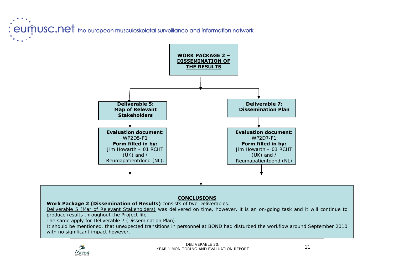: eumnusc.net the european musculoskeletal surveillance and information network



## **CONCLUSIONS**

**Work Package 2 (Dissemination of Results)** consists of two Deliverables.

Deliverable 5 (Mar of Relevant Stakeholders) was delivered on time, however, it is an on-going task and it will continue to produce results throughout the Project life.

The same apply for Deliverable 7 (Dissemination Plan).

It should be mentioned, that unexpected transitions in personnel at BOND had disturbed the workflow around September 2010 with no significant impact however.

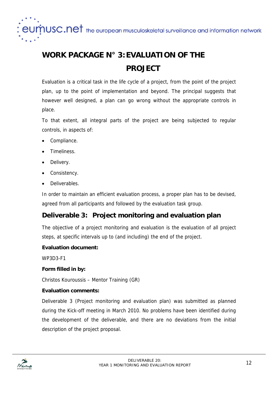$\boldsymbol{\dot{p}}$ USC.Net the european musculoskeletal surveillance and information network

## **WORK PACKAGE N° 3: EVALUATION OF THE PROJECT**

Evaluation is a critical task in the life cycle of a project, from the point of the project plan, up to the point of implementation and beyond. The principal suggests that however well designed, a plan can go wrong without the appropriate controls in place.

To that extent, all integral parts of the project are being subjected to regular controls, in aspects of:

- Compliance.
- Timeliness.
- Delivery.
- Consistency.
- Deliverables.

In order to maintain an efficient evaluation process, a proper plan has to be devised, agreed from all participants and followed by the evaluation task group.

## **Deliverable 3: Project monitoring and evaluation plan**

The objective of a project monitoring and evaluation is the evaluation of all project steps, at specific intervals up to (and including) the end of the project.

## **Evaluation document:**

WP3D3-F1

## **Form filled in by:**

Christos Kouroussis – Mentor Training (GR)

## **Evaluation comments:**

Deliverable 3 (Project monitoring and evaluation plan) was submitted as planned during the Kick-off meeting in March 2010. No problems have been identified during the development of the deliverable, and there are no deviations from the initial description of the project proposal.

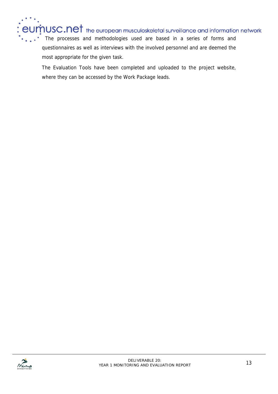$\boldsymbol{\dot{p}}$ USC.Net the european musculoskeletal surveillance and information network The processes and methodologies used are based in a series of forms and questionnaires as well as interviews with the involved personnel and are deemed the most appropriate for the given task.

The Evaluation Tools have been completed and uploaded to the project website, where they can be accessed by the Work Package leads.

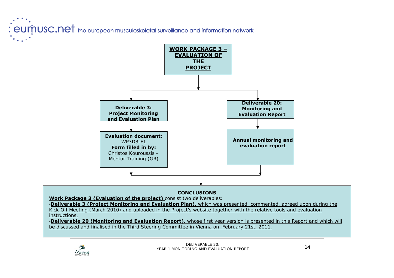: eumusc.net the european musculoskeletal surveillance and information network



#### **CONCLUSIONS**

**Work Package 3 (Evaluation of the project)** consist two deliverables: •**Deliverable 3 (Project Monitoring and Evaluation Plan),** which was presented, commented, agreed upon during the Kick Off Meeting (March 2010) and uploaded in the Project's website together with the relative tools and evaluation instructions.

•**Deliverable 20 (Monitoring and Evaluation Report),** whose first year version is presented in this Report and which will be discussed and finalised in the Third Steering Committee in Vienna on February 21st, 2011.

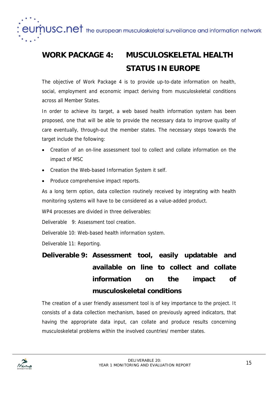$\boldsymbol{\dot{p}}$ USC.Ne $\boldsymbol{\dagger}$  the european musculoskeletal surveillance and information network

## **WORK PACKAGE 4: MUSCULOSKELETAL HEALTH STATUS IN EUROPE**

The objective of Work Package 4 is to provide up-to-date information on health, social, employment and economic impact deriving from musculoskeletal conditions across all Member States.

In order to achieve its target, a web based health information system has been proposed, one that will be able to provide the necessary data to improve quality of care eventually, through-out the member states. The necessary steps towards the target include the following:

- Creation of an on-line assessment tool to collect and collate information on the impact of MSC
- Creation the Web-based Information System it self.
- Produce comprehensive impact reports.

As a long term option, data collection routinely received by integrating with health monitoring systems will have to be considered as a value-added product.

WP4 processes are divided in three deliverables:

Deliverable 9: Assessment tool creation.

Deliverable 10: Web-based health information system.

Deliverable 11: Reporting.

## **Deliverable 9: Assessment tool, easily updatable and available on line to collect and collate information on the impact of musculoskeletal conditions**

The creation of a user friendly assessment tool is of key importance to the project. It consists of a data collection mechanism, based on previously agreed indicators, that having the appropriate data input, can collate and produce results concerning musculoskeletal problems within the involved countries/ member states.

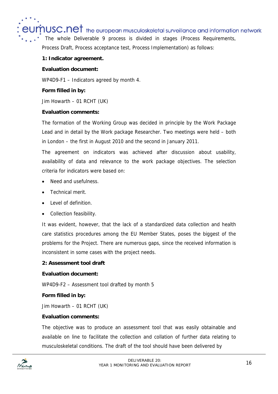$\mathsf{p}_\mathsf{USC}$  .net the european musculoskeletal surveillance and information network

The whole Deliverable 9 process is divided in stages (Process Requirements,

Process Draft, Process acceptance test, Process Implementation) as follows:

### **1: Indicator agreement.**

#### **Evaluation document:**

WP4D9-F1 – Indicators agreed by month 4.

## **Form filled in by:**

Jim Howarth – 01 RCHT (UK)

### **Evaluation comments:**

The formation of the Working Group was decided in principle by the Work Package Lead and in detail by the Work package Researcher. Two meetings were held – both in London – the first in August 2010 and the second in January 2011.

The agreement on indicators was achieved after discussion about usability, availability of data and relevance to the work package objectives. The selection criteria for indicators were based on:

- Need and usefulness.
- Technical merit.
- Level of definition
- Collection feasibility.

It was evident, however, that the lack of a standardized data collection and health care statistics procedures among the EU Member States, poses the biggest of the problems for the Project. There are numerous gaps, since the received information is inconsistent in some cases with the project needs.

#### **2: Assessment tool draft**

#### **Evaluation document:**

WP4D9-F2 – Assessment tool drafted by month 5

## **Form filled in by:**

Jim Howarth – 01 RCHT (UK)

#### **Evaluation comments:**

The objective was to produce an assessment tool that was easily obtainable and available on line to facilitate the collection and collation of further data relating to musculoskeletal conditions. The draft of the tool should have been delivered by

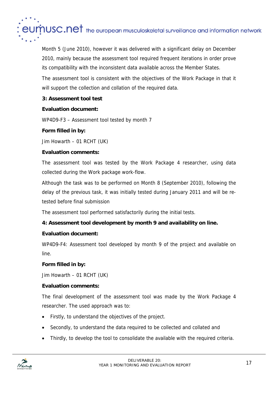

Month 5 (June 2010), however it was delivered with a significant delay on December 2010, mainly because the assessment tool required frequent iterations in order prove its compatibility with the inconsistent data available across the Member States.

The assessment tool is consistent with the objectives of the Work Package in that it will support the collection and collation of the required data.

## **3: Assessment tool test**

## **Evaluation document:**

WP4D9-F3 – Assessment tool tested by month 7

## **Form filled in by:**

Jim Howarth – 01 RCHT (UK)

## **Evaluation comments:**

The assessment tool was tested by the Work Package 4 researcher, using data collected during the Work package work-flow.

Although the task was to be performed on Month 8 (September 2010), following the delay of the previous task, it was initially tested during January 2011 and will be retested before final submission

The assessment tool performed satisfactorily during the initial tests.

## **4: Assessment tool development by month 9 and availability on line.**

## **Evaluation document:**

WP4D9-F4: Assessment tool developed by month 9 of the project and available on line.

## **Form filled in by:**

Jim Howarth – 01 RCHT (UK)

## **Evaluation comments:**

The final development of the assessment tool was made by the Work Package 4 researcher. The used approach was to:

- Firstly, to understand the objectives of the project.
- Secondly, to understand the data required to be collected and collated and
- Thirdly, to develop the tool to consolidate the available with the required criteria.

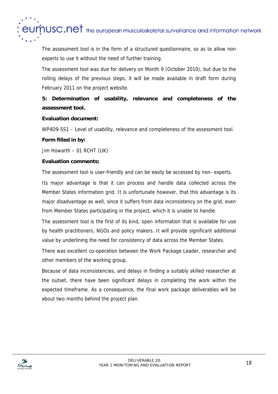

The assessment tool is in the form of a structured questionnaire, so as to allow non experts to use it without the need of further training.

The assessment tool was due for delivery on Month 9 (October 2010), but due to the rolling delays of the previous steps, it will be made available in draft form during February 2011 on the project website.

## **5: Determination of usability, relevance and completeness of the assessment tool.**

### **Evaluation document:**

WP4D9-SS1 – Level of usability, relevance and completeness of the assessment tool.

### **Form filled in by:**

Jim Howarth – 01 RCHT (UK)

### **Evaluation comments:**

The assessment tool is user-friendly and can be easily be accessed by non- experts.

Its major advantage is that it can process and handle data collected across the Member States information grid. It is unfortunate however, that this advantage is its major disadvantage as well, since it suffers from data inconsistency on the grid, even from Member States participating in the project, which it is unable to handle.

The assessment tool is the first of its kind, open information that is available for use by health practitioners, NGOs and policy makers. It will provide significant additional value by underlining the need for consistency of data across the Member States.

There was excellent co-operation between the Work Package Leader, researcher and other members of the working group.

Because of data inconsistencies, and delays in finding a suitably skilled researcher at the outset, there have been significant delays in completing the work within the expected timeframe. As a consequence, the final work package deliverables will be about two months behind the project plan.

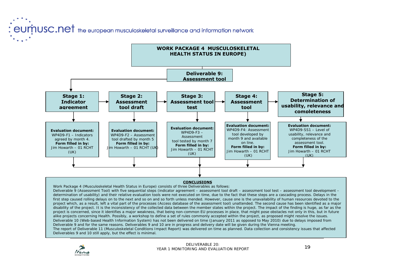: eumnusc.net the european musculoskeletal surveillance and information network



#### **CONCLUSIONS**

Work Package 4 (Musculoskeletal Health Status in Europe) consists of three Deliverables as follows: Deliverable 9 (Assessment Tool) with five sequential steps (*indicator agreement – assessment tool draft – assessment tool test – assessment tool development – determination of usability*) and their relative evaluation tools were not executed on time, due to the fact that these steps are a cascading process. Delays in the first step caused rolling delays on to the next and so on and so forth unless mended. However, cause one is the unavailability of human resources devoted to the project which, as a result, left a vital part of the processes (Access database of the assessment tool) unattended. The second cause has been identified as a major disability of the project. It is the inconsistency of the collected data between the member states within the project. The impact of the finding is huge, as far as the project is concerned, since it identifies a major weakness, that being non-common EU processes in place, that might pose obstacles not only in this, but in future alike projects concerning Health. Possibly, a workshop to define a set of rules commonly accepted within the project, as proposed might resolve the issues. Deliverable 10 (Web-based Health Information System) has not been delivered on time (January 2011 as opposed to May 2010) due to delays imposed from Deliverable 9 and for the same reasons. Deliverables 9 and 10 are in progress and delivery date will be given during the Vienna meeting. The report of Deliverable 11 (Musculoskeletal Conditions Impact Report) was delivered on time as planned. Data collection and consistency issues that affected Deliverables 9 and 10 still apply, but the effect is minimal.

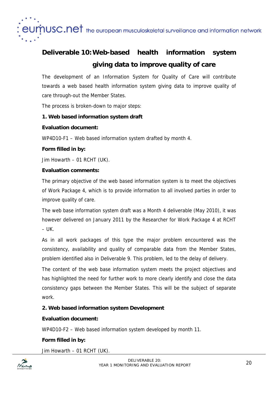

## **Deliverable 10: Web-based health information system giving data to improve quality of care**

The development of an Information System for Quality of Care will contribute towards a web based health information system giving data to improve quality of care through-out the Member States.

The process is broken-down to major steps:

## **1. Web based information system draft**

## **Evaluation document:**

WP4D10-F1 – Web based information system drafted by month 4.

## **Form filled in by:**

Jim Howarth – 01 RCHT (UK).

## **Evaluation comments:**

The primary objective of the web based information system is to meet the objectives of Work Package 4, which is to provide information to all involved parties in order to improve quality of care.

The web base information system draft was a Month 4 deliverable (May 2010), it was however delivered on January 2011 by the Researcher for Work Package 4 at RCHT  $-$  UK.

As in all work packages of this type the major problem encountered was the consistency, availability and quality of comparable data from the Member States, problem identified also in Deliverable 9. This problem, led to the delay of delivery.

The content of the web base information system meets the project objectives and has highlighted the need for further work to more clearly identify and close the data consistency gaps between the Member States. This will be the subject of separate work.

## **2. Web based information system Development**

## **Evaluation document:**

WP4D10-F2 – Web based information system developed by month 11.

## **Form filled in by:**

Jim Howarth – 01 RCHT (UK).

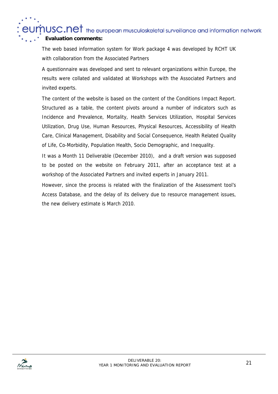$\boldsymbol{\dot{p}}$ USC.Ne $\boldsymbol{\dagger}$  the european musculoskeletal surveillance and information network

## **Evaluation comments:**

The web based information system for Work package 4 was developed by RCHT UK with collaboration from the Associated Partners

A questionnaire was developed and sent to relevant organizations within Europe, the results were collated and validated at Workshops with the Associated Partners and invited experts.

The content of the website is based on the content of the Conditions Impact Report. Structured as a table, the content pivots around a number of indicators such as Incidence and Prevalence, Mortality, Health Services Utilization, Hospital Services Utilization, Drug Use, Human Resources, Physical Resources, Accessibility of Health Care, Clinical Management, Disability and Social Consequence, Health Related Quality of Life, Co-Morbidity, Population Health, Socio Demographic, and Inequality.

It was a Month 11 Deliverable (December 2010), and a draft version was supposed to be posted on the website on February 2011, after an acceptance test at a workshop of the Associated Partners and invited experts in January 2011.

However, since the process is related with the finalization of the Assessment tool's Access Database, and the delay of its delivery due to resource management issues, the new delivery estimate is March 2010.

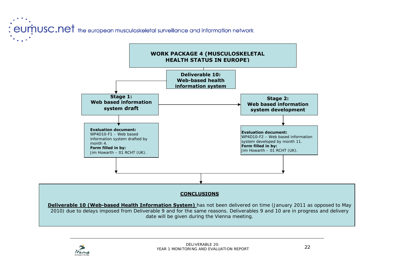: eumnusc.net the european musculoskeletal surveillance and information network



#### **CONCLUSIONS**

**Deliverable 10 (Web-based Health Information System)** has not been delivered on time (January 2011 as opposed to May 2010) due to delays imposed from Deliverable 9 and for the same reasons. Deliverables 9 and 10 are in progress and delivery date will be given during the Vienna meeting.

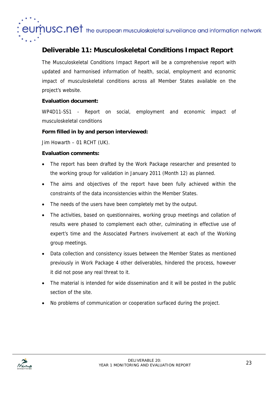$\boldsymbol{\dot{p}}$ USC.Ne $\boldsymbol{\dagger}$  the european musculoskeletal surveillance and information network

## **Deliverable 11: Musculoskeletal Conditions Impact Report**

The Musculoskeletal Conditions Impact Report will be a comprehensive report with updated and harmonised information of health, social, employment and economic impact of musculoskeletal conditions across all Member States available on the project's website.

## **Evaluation document:**

WP4D11-SS1 - Report on social, employment and economic impact of musculoskeletal conditions

### **Form filled in by and person interviewed:**

Jim Howarth – 01 RCHT (UK).

### **Evaluation comments:**

- The report has been drafted by the Work Package researcher and presented to the working group for validation in January 2011 (Month 12) as planned.
- The aims and objectives of the report have been fully achieved within the constraints of the data inconsistencies within the Member States.
- The needs of the users have been completely met by the output.
- The activities, based on questionnaires, working group meetings and collation of results were phased to complement each other, culminating in effective use of expert's time and the Associated Partners involvement at each of the Working group meetings.
- Data collection and consistency issues between the Member States as mentioned previously in Work Package 4 other deliverables, hindered the process, however it did not pose any real threat to it.
- The material is intended for wide dissemination and it will be posted in the public section of the site.
- No problems of communication or cooperation surfaced during the project.

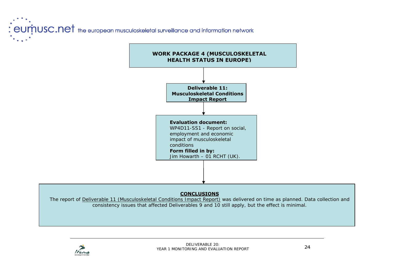: eumnusc.net the european musculoskeletal surveillance and information network



## **CONCLUSIONS**

The report of Deliverable 11 (Musculoskeletal Conditions Impact Report) was delivered on time as planned. Data collection and consistency issues that affected Deliverables 9 and 10 still apply, but the effect is minimal.

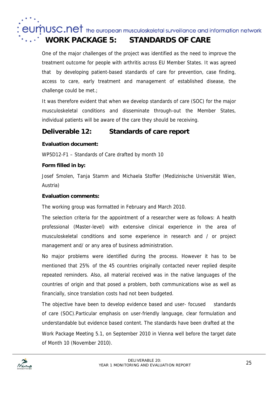eumnusc.net the european musculoskeletal surveillance and information network

## **WORK PACKAGE 5: STANDARDS OF CARE**

One of the major challenges of the project was identified as the need to improve the treatment outcome for people with arthritis across EU Member States. It was agreed that by developing patient-based standards of care for prevention, case finding, access to care, early treatment and management of established disease, the challenge could be met.;

It was therefore evident that when we develop standards of care (SOC) for the major musculoskeletal conditions and disseminate through-out the Member States, individual patients will be aware of the care they should be receiving.

## **Deliverable 12: Standards of care report**

## **Evaluation document:**

WP5D12-F1 – Standards of Care drafted by month 10

## **Form filled in by:**

Josef Smolen, Tanja Stamm and Michaela Stoffer (Medizinische Universität Wien, Austria)

## **Evaluation comments:**

The working group was formatted in February and March 2010.

The selection criteria for the appointment of a researcher were as follows: A health professional (Master-level) with extensive clinical experience in the area of musculoskeletal conditions and some experience in research and / or project management and/ or any area of business administration.

No major problems were identified during the process. However it has to be mentioned that 25% of the 45 countries originally contacted never replied despite repeated reminders. Also, all material received was in the native languages of the countries of origin and that posed a problem, both communications wise as well as financially, since translation costs had not been budgeted.

The objective have been to develop evidence based and user- focused standards of care (SOC).Particular emphasis on user-friendly language, clear formulation and understandable but evidence based content. The standards have been drafted at the Work Package Meeting 5.1, on September 2010 in Vienna well before the target date of Month 10 (November 2010).

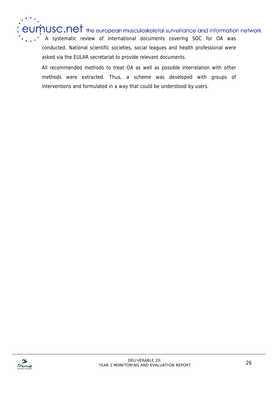$\dot{m}$ USC.Net the european musculoskeletal surveillance and information network A systematic review of international documents covering SOC for OA was conducted. National scientific societies, social leagues and health professional were asked via the EULAR secretariat to provide relevant documents.

All recommended methods to treat OA as well as possible interrelation with other methods were extracted. Thus, a scheme was developed with groups of interventions and formulated in a way that could be understood by users.

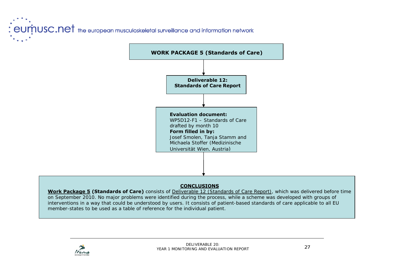: eumnusc.net the european musculoskeletal surveillance and information network



## **CONCLUSIONS**

**Work Package 5 (Standards of Care)** consists of Deliverable 12 (Standards of Care Report), which was delivered before time on September 2010. No major problems were identified during the process, while a scheme was developed with groups of interventions in a way that could be understood by users. It consists of patient-based standards of care applicable to all EU member-states to be used as a table of reference for the individual patient.

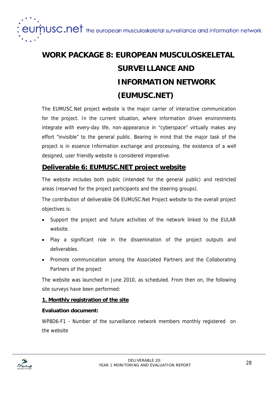$\boldsymbol{\dot{p}}$ USC.Ne $\boldsymbol{\dagger}$  the european musculoskeletal surveillance and information network

## **WORK PACKAGE 8: EUROPEAN MUSCULOSKELETAL SURVEILLANCE AND INFORMATION NETWORK (EUMUSC.NET)**

The EUMUSC.Net project website is the major carrier of interactive communication for the project. In the current situation, where information driven environments integrate with every-day life, non-appearance in "cyberspace" virtually makes any effort "invisible" to the general public. Bearing in mind that the major task of the project is in essence Information exchange and processing, the existence of a well designed, user friendly website is considered imperative.

## **Deliverable 6: EUMUSC.NET project website**

The website includes both public (intended for the general public) and restricted areas (reserved for the project participants and the steering groups).

The contribution of deliverable D6 EUMUSC.Net Project website to the overall project objectives is:

- Support the project and future activities of the network linked to the EULAR website.
- Play a significant role in the dissemination of the project outputs and deliverables.
- Promote communication among the Associated Partners and the Collaborating Partners of the project

The website was launched in June 2010, as scheduled. From then on, the following site surveys have been performed:

## **1. Monthly registration of the site**

## **Evaluation document:**

WP8D6-F1 - Number of the surveillance network members monthly registered on the website

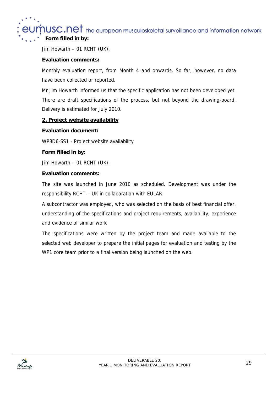$\boldsymbol{\dot{p}}$ USC.Ne $\boldsymbol{\dot{r}}$  the european musculoskeletal surveillance and information network **Form filled in by:**

Jim Howarth – 01 RCHT (UK).

### **Evaluation comments:**

Monthly evaluation report, from Month 4 and onwards. So far, however, no data have been collected or reported.

Mr Jim Howarth informed us that the specific application has not been developed yet. There are draft specifications of the process, but not beyond the drawing-board. Delivery is estimated for July 2010.

### **2. Project website availability**

## **Evaluation document:**

WP8D6-SS1 - Project website availability

### **Form filled in by:**

Jim Howarth – 01 RCHT (UK).

### **Evaluation comments:**

The site was launched in June 2010 as scheduled. Development was under the responsibility RCHT – UK in collaboration with EULAR.

A subcontractor was employed, who was selected on the basis of best financial offer, understanding of the specifications and project requirements, availability, experience and evidence of similar work

The specifications were written by the project team and made available to the selected web developer to prepare the initial pages for evaluation and testing by the WP1 core team prior to a final version being launched on the web.

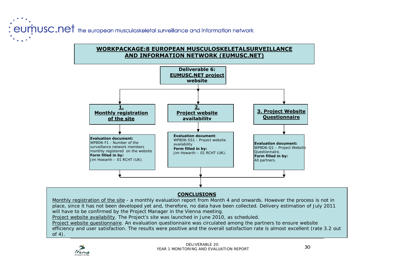: eumnusc.net the european musculoskeletal surveillance and information network

## **WORKPACKAGE:8 EUROPEAN MUSCULOSKELETALSURVEILLANCE AND INFORMATION NETWORK (EUMUSC.NET)**



#### **CONCLUSIONS**

*Monthly registration of the site* - a monthly evaluation report from Month 4 and onwards. However the process is not in place, since it has not been developed yet and, therefore, no data have been collected. Delivery estimation of July 2011 will have to be confirmed by the Project Manager in the Vienna meeting.

*Project website availability*. The Project's site was launched in June 2010, as scheduled.

*Project website questionnaire*. An evaluation questionnaire was circulated among the partners to ensure website efficiency and user satisfaction. The results were positive and the overall satisfaction rate is almost excellent (rate 3.2 out of 4).

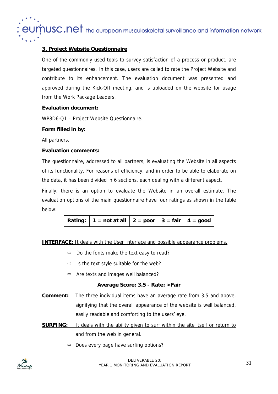$\dot{\eta}$ USC.Net the european musculoskeletal surveillance and information network

## **3. Project Website Questionnaire**

One of the commonly used tools to survey satisfaction of a process or product, are targeted questionnaires. In this case, users are called to rate the Project Website and contribute to its enhancement. The evaluation document was presented and approved during the Kick-Off meeting, and is uploaded on the website for usage from the Work Package Leaders.

### **Evaluation document:**

WP8D6-Q1 – Project Website Questionnaire.

### **Form filled in by:**

All partners.

### **Evaluation comments:**

The questionnaire, addressed to all partners, is evaluating the Website in all aspects of its functionality. For reasons of efficiency, and in order to be able to elaborate on the data, it has been divided in 6 sections, each dealing with a different aspect.

Finally, there is an option to evaluate the Website in an overall estimate. The evaluation options of the main questionnaire have four ratings as shown in the table below:

**INTERFACE:** It deals with the User Interface and possible appearance problems.

- $\Rightarrow$  Do the fonts make the text easy to read?
- $\Rightarrow$  Is the text style suitable for the web?
- $\Rightarrow$  Are texts and images well balanced?

#### **Average Score: 3.5 - Rate: >Fair**

- **Comment:** The three individual items have an average rate from 3.5 and above, signifying that the overall appearance of the website is well balanced, easily readable and comforting to the users' eye.
- **SURFING:** It deals with the ability given to surf within the site itself or return to and from the web in general.
	- $\Rightarrow$  Does every page have surfing options?

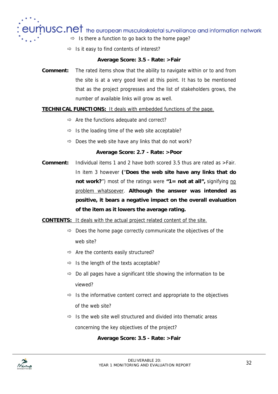$\sqrt{10}$  and  $\pm$  the european musculoskeletal surveillance and information network

- $\Rightarrow$  Is there a function to go back to the home page?
- $\Rightarrow$  Is it easy to find contents of interest?

### **Average Score: 3.5 - Rate: >Fair**

**Comment:** The rated items show that the ability to navigate within or to and from the site is at a very good level at this point. It has to be mentioned that as the project progresses and the list of stakeholders grows, the number of available links will grow as well.

### **TECHNICAL FUNCTIONS:** It deals with embedded functions of the page.

- $\Rightarrow$  Are the functions adequate and correct?
- $\Rightarrow$  Is the loading time of the web site acceptable?
- $\Rightarrow$  Does the web site have any links that do not work?

#### **Average Score: 2.7 - Rate: >Poor**

**Comment:** Individual items 1 and 2 have both scored 3.5 thus are rated as >Fair. In item 3 however **(**"**Does the web site have any links that do not work?**") most of the ratings were "1 = not at all", signifying no problem whatsoever. **Although the answer was intended as positive, it bears a negative impact on the overall evaluation of the item as it lowers the average rating.** 

**CONTENTS:** It deals with the actual project related content of the site.

- $\Rightarrow$  Does the home page correctly communicate the objectives of the web site?
- $\Rightarrow$  Are the contents easily structured?
- $\Rightarrow$  Is the length of the texts acceptable?
- $\Rightarrow$  Do all pages have a significant title showing the information to be viewed?
- $\Rightarrow$  Is the informative content correct and appropriate to the objectives of the web site?
- $\Rightarrow$  Is the web site well structured and divided into thematic areas concerning the key objectives of the project?

## **Average Score: 3.5 - Rate: >Fair**

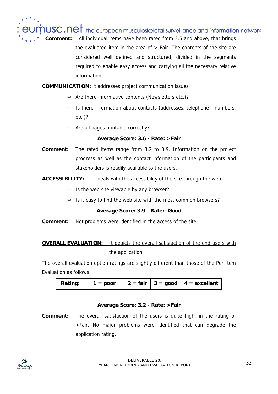$1USC. net$  the european musculoskeletal surveillance and information network **Comment:** All individual items have been rated from 3.5 and above, that brings the evaluated item in the area of > Fair. The contents of the site are considered well defined and structured, divided in the segments required to enable easy access and carrying all the necessary relative information.

## **COMMUNICATION:** It addresses project communication issues.

- $\Rightarrow$  Are there informative contents (Newsletters etc.)?
- $\Rightarrow$  Is there information about contacts (addresses, telephone numbers, etc.)?
- $\Rightarrow$  Are all pages printable correctly?

#### **Average Score: 3.6 - Rate: >Fair**

**Comment:** The rated items range from 3.2 to 3.9. Information on the project progress as well as the contact information of the participants and stakeholders is readily available to the users.

### **ACCESSIBILITY:** It deals with the accessibility of the site through the web.

- $\Rightarrow$  Is the web site viewable by any browser?
- $\Rightarrow$  Is it easy to find the web site with the most common browsers?

#### **Average Score: 3.9 - Rate: -Good**

**Comment:** Not problems were identified in the access of the site.

## **OVERALL EVALUATION:** It depicts the overall satisfaction of the end users with the application

The overall evaluation option ratings are slightly different than those of the Per Item Evaluation as follows:

| 2 = fair   3 = good   4 = excellent<br>Rating:<br>$1 = poor$ |  |
|--------------------------------------------------------------|--|
|--------------------------------------------------------------|--|

#### **Average Score: 3.2 - Rate: >Fair**

**Comment:** The overall satisfaction of the users is quite high, in the rating of >Fair. No major problems were identified that can degrade the application rating.

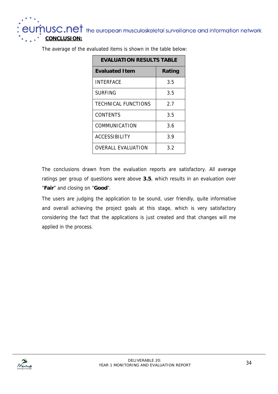**MUSC.Net** the european musculoskeletal surveillance and information network<br>CONCLUSION:

## **EVALUATION RESULTS TABLE Evaluated Item Rating** INTERFACE 3.5 SURFING 3.5 TECHNICAL FUNCTIONS | 2.7 CONTENTS 3.5 COMMUNICATION 3.6 ACCESSIBILITY 1 3.9 OVERALL EVALUATION 3.2

The average of the evaluated items is shown in the table below:

The conclusions drawn from the evaluation reports are satisfactory. All average ratings per group of questions were above **3.5**, which results in an evaluation over "**Fair**" and closing on "**Good**".

The users are judging the application to be sound, user friendly, quite informative and overall achieving the project goals at this stage, which is very satisfactory considering the fact that the applications is just created and that changes will me applied in the process.

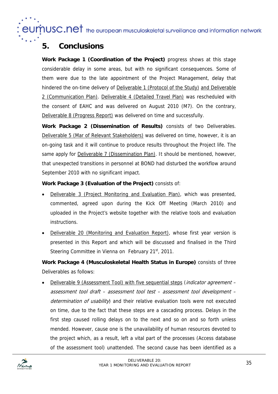eumusc.net the european musculoskeletal surveillance and information network

## **5. Conclusions**

**Work Package 1 (Coordination of the Project)** progress shows at this stage considerable delay in some areas, but with no significant consequences. Some of them were due to the late appointment of the Project Management, delay that hindered the on-time delivery of Deliverable 1 (Protocol of the Study) and Deliverable 2 (Communication Plan). Deliverable 4 (Detailed Travel Plan) was rescheduled with the consent of EAHC and was delivered on August 2010 (M7). On the contrary, Deliverable 8 (Progress Report) was delivered on time and successfully.

**Work Package 2 (Dissemination of Results)** consists of two Deliverables. Deliverable 5 (Mar of Relevant Stakeholders) was delivered on time, however, it is an on-going task and it will continue to produce results throughout the Project life. The same apply for **Deliverable 7 (Dissemination Plan)**. It should be mentioned, however, that unexpected transitions in personnel at BOND had disturbed the workflow around September 2010 with no significant impact.

**Work Package 3 (Evaluation of the Project)** consists of:

- Deliverable 3 (Project Monitoring and Evaluation Plan), which was presented, commented, agreed upon during the Kick Off Meeting (March 2010) and uploaded in the Project's website together with the relative tools and evaluation instructions.
- Deliverable 20 (Monitoring and Evaluation Report), whose first year version is presented in this Report and which will be discussed and finalised in the Third Steering Committee in Vienna on February  $21<sup>st</sup>$ , 2011.

**Work Package 4 (Musculoskeletal Health Status in Europe)** consists of three Deliverables as follows:

Deliverable 9 (Assessment Tool) with five sequential steps (*indicator agreement* assessment tool draft – assessment tool test – assessment tool development – determination of usability) and their relative evaluation tools were not executed on time, due to the fact that these steps are a cascading process. Delays in the first step caused rolling delays on to the next and so on and so forth unless mended. However, cause one is the unavailability of human resources devoted to the project which, as a result, left a vital part of the processes (Access database of the assessment tool) unattended. The second cause has been identified as a

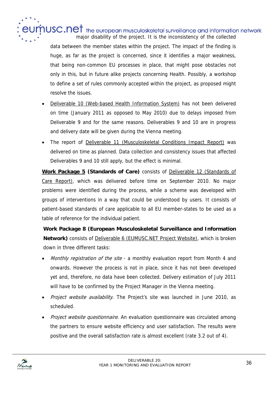**NUSC.Net** the european musculoskeletal surveillance and information network major disability of the project. It is the inconsistency of the collected data between the member states within the project. The impact of the finding is huge, as far as the project is concerned, since it identifies a major weakness, that being non-common EU processes in place, that might pose obstacles not only in this, but in future alike projects concerning Health. Possibly, a workshop to define a set of rules commonly accepted within the project, as proposed might resolve the issues.

- Deliverable 10 (Web-based Health Information System) has not been delivered on time (January 2011 as opposed to May 2010) due to delays imposed from Deliverable 9 and for the same reasons. Deliverables 9 and 10 are in progress and delivery date will be given during the Vienna meeting.
- The report of Deliverable 11 (Musculoskeletal Conditions Impact Report) was delivered on time as planned. Data collection and consistency issues that affected Deliverables 9 and 10 still apply, but the effect is minimal.

**Work Package 5 (Standards of Care)** consists of Deliverable 12 (Standards of Care Report), which was delivered before time on September 2010. No major problems were identified during the process, while a scheme was developed with groups of interventions in a way that could be understood by users. It consists of patient-based standards of care applicable to all EU member-states to be used as a table of reference for the individual patient.

**Work Package 8 (European Musculoskeletal Surveillance and Information Network)** consists of Deliverable 6 (EUMUSC.NET Project Website), which is broken down in three different tasks:

- Monthly registration of the site a monthly evaluation report from Month 4 and onwards. However the process is not in place, since it has not been developed yet and, therefore, no data have been collected. Delivery estimation of July 2011 will have to be confirmed by the Project Manager in the Vienna meeting.
- Project website availability. The Project's site was launched in June 2010, as scheduled.
- Project website questionnaire. An evaluation questionnaire was circulated among the partners to ensure website efficiency and user satisfaction. The results were positive and the overall satisfaction rate is almost excellent (rate 3.2 out of 4).

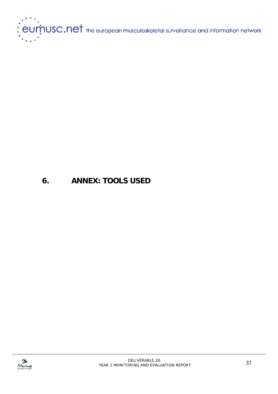

## **6. ANNEX: TOOLS USED**

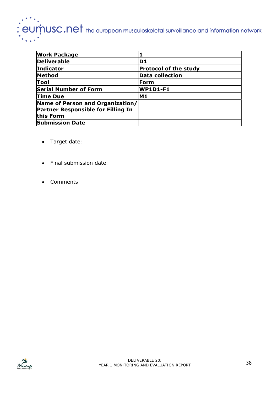# eumnusc.net the european musculoskeletal surveillance and information network

| <b>Work Package</b>                                                                        |                              |
|--------------------------------------------------------------------------------------------|------------------------------|
| <b>Deliverable</b>                                                                         | ID 1                         |
| <b>Indicator</b>                                                                           | <b>Protocol of the study</b> |
| Method                                                                                     | <b>Data collection</b>       |
| Tool                                                                                       | Form                         |
| <b>Serial Number of Form</b>                                                               | <b>WP1D1-F1</b>              |
| <b>Time Due</b>                                                                            | M1                           |
| Name of Person and Organization/<br><b>Partner Responsible for Filling In</b><br>this Form |                              |
| <b>Submission Date</b>                                                                     |                              |

- Target date:
- Final submission date:
- Comments

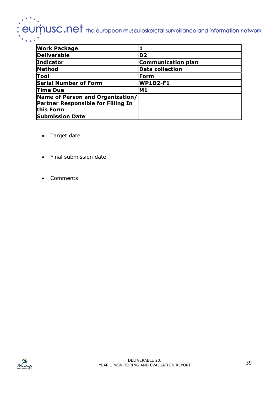# $\therefore$   $e$ U $\dot{m}$ USC.Net the european musculoskeletal surveillance and information network

| <b>Work Package</b>                                                                        |                           |
|--------------------------------------------------------------------------------------------|---------------------------|
| <b>Deliverable</b>                                                                         | D <sub>2</sub>            |
| <b>Indicator</b>                                                                           | <b>Communication plan</b> |
| <b>Method</b>                                                                              | <b>Data collection</b>    |
| Tool                                                                                       | <b>Form</b>               |
| <b>Serial Number of Form</b>                                                               | <b>WP1D2-F1</b>           |
| <b>Time Due</b>                                                                            | IM 1                      |
| Name of Person and Organization/<br><b>Partner Responsible for Filling In</b><br>this Form |                           |
| <b>Submission Date</b>                                                                     |                           |

- Target date:
- Final submission date:
- Comments

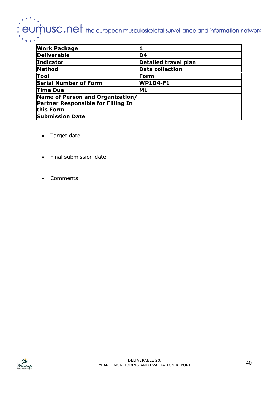# $\therefore$   $e$ U $\dot{m}$ USC.Net the european musculoskeletal surveillance and information network

| <b>Work Package</b>                                                                        |                        |
|--------------------------------------------------------------------------------------------|------------------------|
| <b>Deliverable</b>                                                                         | D <sub>4</sub>         |
| Indicator                                                                                  | Detailed travel plan   |
| Method                                                                                     | <b>Data collection</b> |
| Tool                                                                                       | Form                   |
| <b>Serial Number of Form</b>                                                               | <b>WP1D4-F1</b>        |
| Time Due                                                                                   | IM 1                   |
| Name of Person and Organization/<br><b>Partner Responsible for Filling In</b><br>this Form |                        |
| <b>Submission Date</b>                                                                     |                        |

- Target date:
- Final submission date:
- Comments

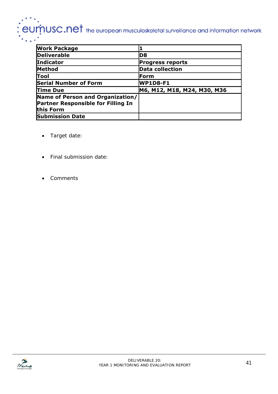# $\therefore$   $e$ U $\dot{m}$ USC.Net the european musculoskeletal surveillance and information network

| <b>Work Package</b>                                                                 |                             |
|-------------------------------------------------------------------------------------|-----------------------------|
| <b>Deliverable</b>                                                                  | D8                          |
| Indicator                                                                           | <b>Progress reports</b>     |
| Method                                                                              | <b>Data collection</b>      |
| Tool                                                                                | Form                        |
| <b>Serial Number of Form</b>                                                        | <b>WP1D8-F1</b>             |
| <b>Time Due</b>                                                                     | M6, M12, M18, M24, M30, M36 |
| Name of Person and Organization/<br>Partner Responsible for Filling In<br>this Form |                             |
| <b>Submission Date</b>                                                              |                             |

- Target date:
- Final submission date:
- Comments

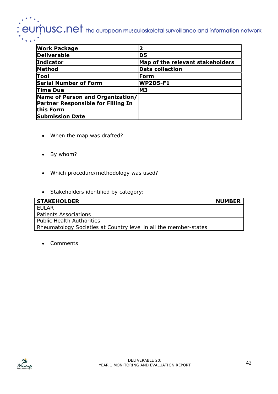# $\overline{\mathsf{curr}}$ USC.Net the european musculoskeletal surveillance and information network

| <b>Work Package</b>                                                                        |                                  |
|--------------------------------------------------------------------------------------------|----------------------------------|
| <b>Deliverable</b>                                                                         | D5                               |
| <b>Indicator</b>                                                                           | Map of the relevant stakeholders |
| <b>Method</b>                                                                              | <b>Data collection</b>           |
| Tool                                                                                       | Form                             |
| <b>Serial Number of Form</b>                                                               | <b>WP2D5-F1</b>                  |
| <b>Time Due</b>                                                                            | IM3                              |
| Name of Person and Organization/<br><b>Partner Responsible for Filling In</b><br>this Form |                                  |
| <b>Submission Date</b>                                                                     |                                  |

- When the map was drafted?
- By whom?
- Which procedure/methodology was used?
- Stakeholders identified by category:

| <b>STAKEHOLDER</b>                                               | <b>NUMBER</b> |
|------------------------------------------------------------------|---------------|
| FUI AR                                                           |               |
| <b>Patients Associations</b>                                     |               |
| <b>Public Health Authorities</b>                                 |               |
| Rheumatology Societies at Country level in all the member-states |               |

• Comments

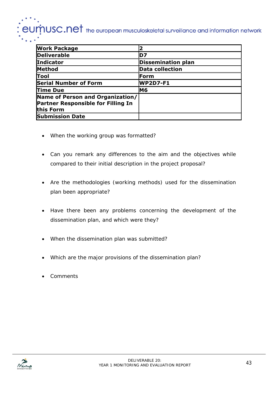# $\dot{\eta}$ USC.Net the european musculoskeletal surveillance and information network

| <b>Work Package</b>                       |                           |
|-------------------------------------------|---------------------------|
| <b>Deliverable</b>                        | D7                        |
| <b>Indicator</b>                          | <b>Dissemination plan</b> |
| <b>Method</b>                             | <b>Data collection</b>    |
| Tool                                      | <b>Form</b>               |
| <b>Serial Number of Form</b>              | <b>WP2D7-F1</b>           |
| <b>Time Due</b>                           | M6                        |
| Name of Person and Organization/          |                           |
| <b>Partner Responsible for Filling In</b> |                           |
| this Form                                 |                           |
| <b>Submission Date</b>                    |                           |

- When the working group was formatted?
- Can you remark any differences to the aim and the objectives while compared to their initial description in the project proposal?
- Are the methodologies (working methods) used for the dissemination plan been appropriate?
- Have there been any problems concerning the development of the dissemination plan, and which were they?
- When the dissemination plan was submitted?
- Which are the major provisions of the dissemination plan?
- Comments

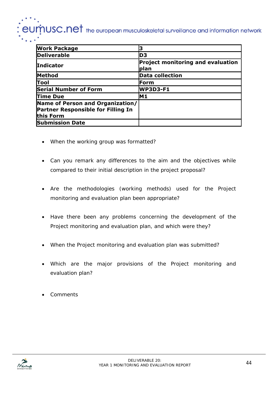## $\boldsymbol{\dot{p}}$ USC.Ne $\boldsymbol{\dot{r}}$  the european musculoskeletal surveillance and information network

| <b>Work Package</b>                                                                        |                                                  |
|--------------------------------------------------------------------------------------------|--------------------------------------------------|
| <b>Deliverable</b>                                                                         | ID3                                              |
| <b>Indicator</b>                                                                           | <b>Project monitoring and evaluation</b><br>plan |
| <b>Method</b>                                                                              | <b>Data collection</b>                           |
| Tool                                                                                       | Form                                             |
| <b>Serial Number of Form</b>                                                               | <b>WP3D3-F1</b>                                  |
| <b>Time Due</b>                                                                            | M1                                               |
| Name of Person and Organization/<br><b>Partner Responsible for Filling In</b><br>this Form |                                                  |
| <b>Submission Date</b>                                                                     |                                                  |

- When the working group was formatted?
- Can you remark any differences to the aim and the objectives while compared to their initial description in the project proposal?
- Are the methodologies (working methods) used for the Project monitoring and evaluation plan been appropriate?
- Have there been any problems concerning the development of the Project monitoring and evaluation plan, and which were they?
- When the Project monitoring and evaluation plan was submitted?
- Which are the major provisions of the Project monitoring and evaluation plan?
- Comments

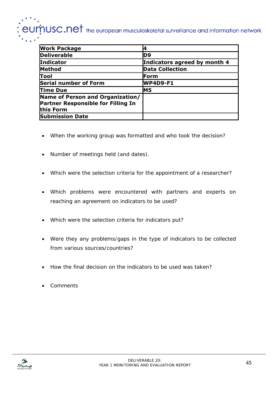# $\operatorname{p}$ USC.Net the european musculoskeletal surveillance and information network

| <b>Work Package</b>                                                           |                              |
|-------------------------------------------------------------------------------|------------------------------|
| <b>Deliverable</b>                                                            | ID9                          |
| <b>Indicator</b>                                                              | Indicators agreed by month 4 |
| Method                                                                        | <b>Data Collection</b>       |
| Tool                                                                          | ⊩Form                        |
| <b>Serial number of Form</b>                                                  | WP4D9-F1                     |
| Time Due                                                                      | IM5                          |
| Name of Person and Organization/<br><b>Partner Responsible for Filling In</b> |                              |
| this Form                                                                     |                              |
| <b>Submission Date</b>                                                        |                              |

- When the working group was formatted and who took the decision?
- Number of meetings held (and dates).
- Which were the selection criteria for the appointment of a researcher?
- Which problems were encountered with partners and experts on reaching an agreement on indicators to be used?
- Which were the selection criteria for indicators put?
- Were they any problems/gaps in the type of indicators to be collected from various sources/countries?
- How the final decision on the indicators to be used was taken?
- Comments

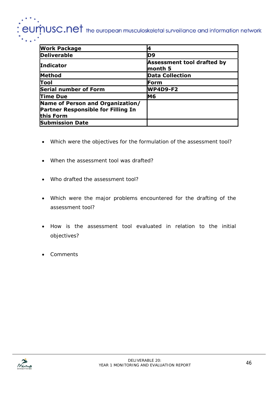## eumnusc.net the european musculoskeletal surveillance and information network

| <b>Work Package</b>                                                                 |                                       |
|-------------------------------------------------------------------------------------|---------------------------------------|
| <b>Deliverable</b>                                                                  | ID9                                   |
| <b>Indicator</b>                                                                    | Assessment tool drafted by<br>month 5 |
| Method                                                                              | <b>Data Collection</b>                |
| Tool                                                                                | ⊩Form                                 |
| <b>Serial number of Form</b>                                                        | <b>WP4D9-F2</b>                       |
| <b>Time Due</b>                                                                     | M6                                    |
| Name of Person and Organization/<br>Partner Responsible for Filling In<br>this Form |                                       |
| <b>Submission Date</b>                                                              |                                       |

- Which were the objectives for the formulation of the assessment tool?
- When the assessment tool was drafted?
- Who drafted the assessment tool?
- Which were the major problems encountered for the drafting of the assessment tool?
- How is the assessment tool evaluated in relation to the initial objectives?
- Comments

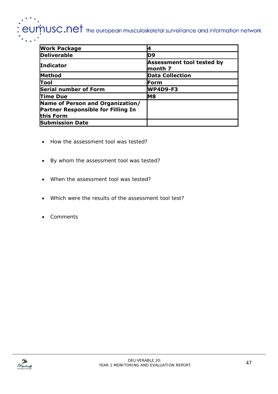# $\therefore$   $\text{e}\text{um}$   $\text{us}\text{c}.\text{net}$  the european musculoskeletal surveillance and information network

| <b>Work Package</b>                                                                        |                                      |
|--------------------------------------------------------------------------------------------|--------------------------------------|
| <b>Deliverable</b>                                                                         | D9                                   |
| <b>Indicator</b>                                                                           | Assessment tool tested by<br>month 7 |
| <b>Method</b>                                                                              | <b>Data Collection</b>               |
| Tool                                                                                       | Form                                 |
| <b>Serial number of Form</b>                                                               | <b>WP4D9-F3</b>                      |
| <b>Time Due</b>                                                                            | M8                                   |
| Name of Person and Organization/<br><b>Partner Responsible for Filling In</b><br>this Form |                                      |
| <b>Submission Date</b>                                                                     |                                      |

- How the assessment tool was tested?
- By whom the assessment tool was tested?
- When the assessment tool was tested?
- Which were the results of the assessment tool test?
- Comments

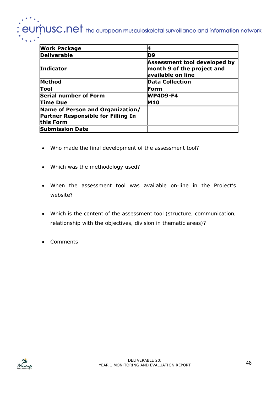## eumnusc.net the european musculoskeletal surveillance and information network

| <b>Work Package</b>                                                                 |                                                                                 |
|-------------------------------------------------------------------------------------|---------------------------------------------------------------------------------|
| <b>Deliverable</b>                                                                  | ID9                                                                             |
| <b>Indicator</b>                                                                    | Assessment tool developed by<br>month 9 of the project and<br>available on line |
| <b>Method</b>                                                                       | Data Collection                                                                 |
| lTool                                                                               | Form                                                                            |
| <b>Serial number of Form</b>                                                        | <b>WP4D9-F4</b>                                                                 |
| Time Due                                                                            | <b>M10</b>                                                                      |
| Name of Person and Organization/<br>Partner Responsible for Filling In<br>this Form |                                                                                 |
| <b>Submission Date</b>                                                              |                                                                                 |

- Who made the final development of the assessment tool?
- Which was the methodology used?
- When the assessment tool was available on-line in the Project's website?
- Which is the content of the assessment tool (structure, communication, relationship with the objectives, division in thematic areas)?
- Comments

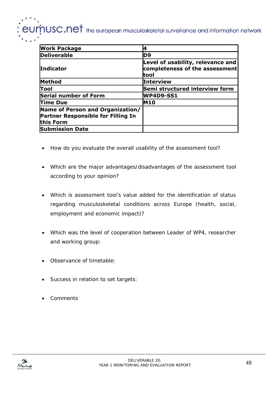## $J\dot{M}$ USC.Net the european musculoskeletal surveillance and information network

| <b>Work Package</b>                                                                        |                                                                              |
|--------------------------------------------------------------------------------------------|------------------------------------------------------------------------------|
| <b>Deliverable</b>                                                                         | D9                                                                           |
| <b>Indicator</b>                                                                           | Level of usability, relevance and<br>completeness of the assessment<br>ltool |
| Method                                                                                     | Interview                                                                    |
| lTool                                                                                      | Semi structured interview form                                               |
| <b>Serial number of Form</b>                                                               | WP4D9-SS1                                                                    |
| <b>Time Due</b>                                                                            | <b>M10</b>                                                                   |
| Name of Person and Organization/<br><b>Partner Responsible for Filling In</b><br>this Form |                                                                              |
| <b>Submission Date</b>                                                                     |                                                                              |

- How do you evaluate the overall usability of the assessment tool?
- Which are the major advantages/disadvantages of the assessment tool according to your opinion?
- Which is assessment tool's value added for the identification of status regarding musculoskeletal conditions across Europe (health, social, employment and economic impact)?
- Which was the level of cooperation between Leader of WP4, researcher and working group:
- Observance of timetable:
- Success in relation to set targets:
- Comments

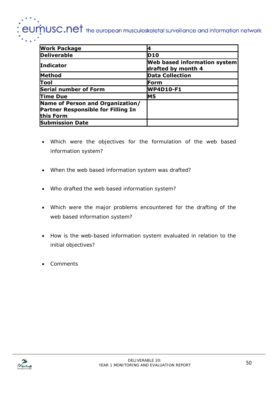## $J\dot{m}$ USC.Net the european musculoskeletal surveillance and information network el

| <b>Work Package</b>                                                                        |                                                    |
|--------------------------------------------------------------------------------------------|----------------------------------------------------|
| <b>Deliverable</b>                                                                         | <b>D10</b>                                         |
| <b>Indicator</b>                                                                           | Web based information system<br>drafted by month 4 |
| Method                                                                                     | Data Collection                                    |
| Tool                                                                                       | Form                                               |
| <b>Serial number of Form</b>                                                               | WP4D10-F1                                          |
| <b>Time Due</b>                                                                            | M5                                                 |
| Name of Person and Organization/<br><b>Partner Responsible for Filling In</b><br>this Form |                                                    |
| <b>Submission Date</b>                                                                     |                                                    |

- Which were the objectives for the formulation of the web based information system?
- When the web based information system was drafted?
- Who drafted the web based information system?
- Which were the major problems encountered for the drafting of the web based information system?
- How is the web-based information system evaluated in relation to the initial objectives?
- Comments

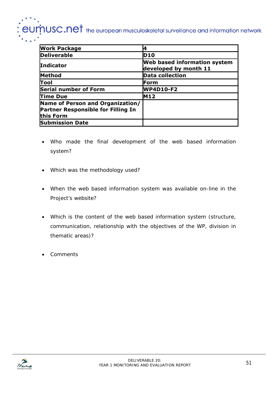## $J\dot{M}$ USC.Net the european musculoskeletal surveillance and information network

| <b>Work Package</b>                                                                        |                                                       |
|--------------------------------------------------------------------------------------------|-------------------------------------------------------|
| <b>Deliverable</b>                                                                         | <b>D10</b>                                            |
| <b>Indicator</b>                                                                           | Web based information system<br>developed by month 11 |
| Method                                                                                     | Data collection                                       |
| Tool                                                                                       | Form                                                  |
| <b>Serial number of Form</b>                                                               | <b>WP4D10-F2</b>                                      |
| <b>Time Due</b>                                                                            | <b>M12</b>                                            |
| Name of Person and Organization/<br><b>Partner Responsible for Filling In</b><br>this Form |                                                       |
| <b>Submission Date</b>                                                                     |                                                       |

- Who made the final development of the web based information system?
- Which was the methodology used?
- When the web based information system was available on-line in the Project's website?
- Which is the content of the web based information system (structure, communication, relationship with the objectives of the WP, division in thematic areas)?
- Comments

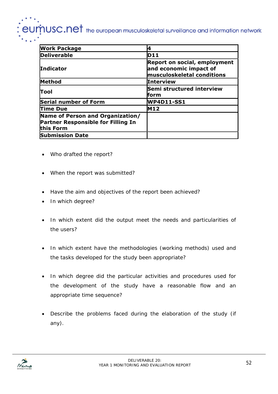## $\boldsymbol{\dot{p}}$ USC.Ne $\boldsymbol{t}$  the european musculoskeletal surveillance and information network

| <b>Work Package</b>                                                                 |                                                                                           |
|-------------------------------------------------------------------------------------|-------------------------------------------------------------------------------------------|
| <b>Deliverable</b>                                                                  | <b>D11</b>                                                                                |
| <b>Indicator</b>                                                                    | Report on social, employment<br>and economic impact of<br>$\,$ musculoskeletal conditions |
| <b>Method</b>                                                                       | <b>Interview</b>                                                                          |
| lTool                                                                               | Semi structured interview<br>lform                                                        |
| <b>Serial number of Form</b>                                                        | WP4D11-SS1                                                                                |
| <b>Time Due</b>                                                                     | <b>M12</b>                                                                                |
| Name of Person and Organization/<br>Partner Responsible for Filling In<br>this Form |                                                                                           |
| <b>Submission Date</b>                                                              |                                                                                           |

- Who drafted the report?
- When the report was submitted?
- Have the aim and objectives of the report been achieved?
- In which degree?
- In which extent did the output meet the needs and particularities of the users?
- In which extent have the methodologies (working methods) used and the tasks developed for the study been appropriate?
- In which degree did the particular activities and procedures used for the development of the study have a reasonable flow and an appropriate time sequence?
- Describe the problems faced during the elaboration of the study (if any).

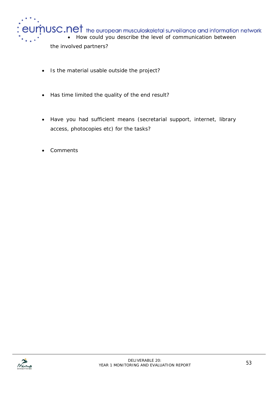

- Is the material usable outside the project?
- Has time limited the quality of the end result?
- Have you had sufficient means (secretarial support, internet, library access, photocopies etc) for the tasks?
- Comments

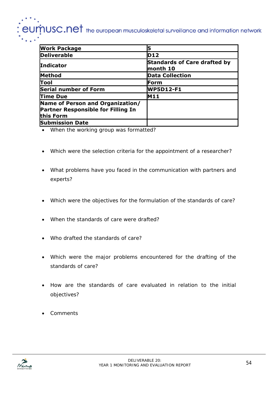# $\boldsymbol{\dot{p}}$ USC.Net the european musculoskeletal surveillance and information network

| <b>Work Package</b>                                                                        |                                                         |
|--------------------------------------------------------------------------------------------|---------------------------------------------------------|
| <b>Deliverable</b>                                                                         | D12                                                     |
| <b>Indicator</b>                                                                           | Standards of Care drafted by<br>$\blacksquare$ month 10 |
| Method                                                                                     | <b>Data Collection</b>                                  |
| Tool                                                                                       | ⊪Form                                                   |
| <b>Serial number of Form</b>                                                               | <b>WP5D12-F1</b>                                        |
| Time Due                                                                                   | <b>M11</b>                                              |
| Name of Person and Organization/<br><b>Partner Responsible for Filling In</b><br>this Form |                                                         |
| <b>Submission Date</b>                                                                     |                                                         |

- When the working group was formatted?
- Which were the selection criteria for the appointment of a researcher?
- What problems have you faced in the communication with partners and experts?
- Which were the objectives for the formulation of the standards of care?
- When the standards of care were drafted?
- Who drafted the standards of care?
- Which were the major problems encountered for the drafting of the standards of care?
- How are the standards of care evaluated in relation to the initial objectives?
- Comments

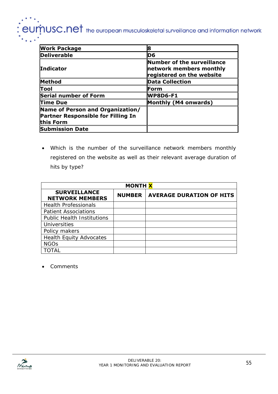## $\overline{\phantom{a}}$   $\overline{\phantom{a}}$   $\overline{\phantom{a}}$   $\overline{\phantom{a}}$   $\overline{\phantom{a}}$  the european musculoskeletal surveillance and information network

| <b>Work Package</b>                                                                        |                                                                                    |
|--------------------------------------------------------------------------------------------|------------------------------------------------------------------------------------|
| <b>Deliverable</b>                                                                         | D6                                                                                 |
| <b>Indicator</b>                                                                           | Number of the surveillance<br>network members monthly<br>registered on the website |
| <b>Method</b>                                                                              | <b>Data Collection</b>                                                             |
| lTool                                                                                      | ⊪Form                                                                              |
| <b>Serial number of Form</b>                                                               | <b>WP8D6-F1</b>                                                                    |
| <b>Time Due</b>                                                                            | Monthly (M4 onwards)                                                               |
| Name of Person and Organization/<br><b>Partner Responsible for Filling In</b><br>this Form |                                                                                    |
| <b>Submission Date</b>                                                                     |                                                                                    |

• Which is the number of the surveillance network members monthly registered on the website as well as their relevant average duration of hits by type?

| <b>MONTH X</b>                                |               |                                 |  |
|-----------------------------------------------|---------------|---------------------------------|--|
| <b>SURVEILLANCE</b><br><b>NETWORK MEMBERS</b> | <b>NUMBER</b> | <b>AVERAGE DURATION OF HITS</b> |  |
| <b>Health Professionals</b>                   |               |                                 |  |
| <b>Patient Associations</b>                   |               |                                 |  |
| <b>Public Health Institutions</b>             |               |                                 |  |
| <b>Universities</b>                           |               |                                 |  |
| Policy makers                                 |               |                                 |  |
| <b>Health Equity Advocates</b>                |               |                                 |  |
| <b>NGOs</b>                                   |               |                                 |  |
| TAI.                                          |               |                                 |  |

• Comments

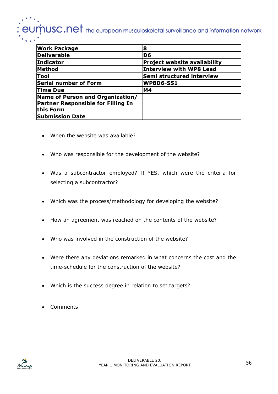# $\boldsymbol{\dot{p}}$ USC.Ne $\boldsymbol{t}$  the european musculoskeletal surveillance and information network

| <b>Work Package</b>                       |                                |
|-------------------------------------------|--------------------------------|
| <b>Deliverable</b>                        | ID6                            |
| <b>Indicator</b>                          | Project website availability   |
| Method                                    | <b>Interview with WP8 Lead</b> |
| Tool                                      | Semi structured interview      |
| Serial number of Form                     | WP8D6-SS1                      |
| Time Due                                  | M4                             |
| Name of Person and Organization/          |                                |
| <b>Partner Responsible for Filling In</b> |                                |
| this Form                                 |                                |
| <b>Submission Date</b>                    |                                |

- When the website was available?
- Who was responsible for the development of the website?
- Was a subcontractor employed? If YES, which were the criteria for selecting a subcontractor?
- Which was the process/methodology for developing the website?
- How an agreement was reached on the contents of the website?
- Who was involved in the construction of the website?
- Were there any deviations remarked in what concerns the cost and the time-schedule for the construction of the website?
- Which is the success degree in relation to set targets?
- Comments

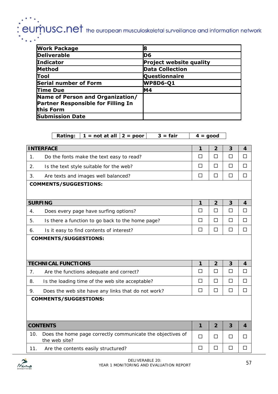# : eumnusc.net the european musculoskeletal surveillance and information network

| <b>Work Package</b>                       | 8                              |
|-------------------------------------------|--------------------------------|
| <b>Deliverable</b>                        | D6                             |
| <b>Indicator</b>                          | <b>Project website quality</b> |
| <b>Method</b>                             | <b>Data Collection</b>         |
| Tool                                      | <b>Questionnaire</b>           |
| <b>Serial number of Form</b>              | <b>WP8D6-Q1</b>                |
| Time Due                                  | <b>M4</b>                      |
| Name of Person and Organization/          |                                |
| <b>Partner Responsible for Filling In</b> |                                |
| this Form                                 |                                |
| <b>Submission Date</b>                    |                                |

|     | $1 = not at all$<br>$3 = fair$<br><b>Rating:</b><br>$2 = poor$ | $4 = good$ |                |                |        |
|-----|----------------------------------------------------------------|------------|----------------|----------------|--------|
|     |                                                                |            |                |                |        |
|     | <b>INTERFACE</b>                                               | 1          | $\overline{2}$ | $\mathbf{3}$   | 4      |
| 1.  | Do the fonts make the text easy to read?                       | $\Box$     | $\Box$         | $\Box$         | $\Box$ |
| 2.  | Is the text style suitable for the web?                        | □          | $\Box$         | $\Box$         | □      |
| 3.  | Are texts and images well balanced?                            | $\Box$     | $\Box$         | $\Box$         | □      |
|     | <b>COMMENTS/SUGGESTIONS:</b>                                   |            |                |                |        |
|     | <b>SURFING</b>                                                 | 1          | $\overline{2}$ | $\overline{3}$ | 4      |
| 4.  | Does every page have surfing options?                          | $\Box$     | $\Box$         | $\Box$         | □      |
| 5.  | Is there a function to go back to the home page?               | $\Box$     | $\Box$         | $\Box$         | $\Box$ |
| 6.  | Is it easy to find contents of interest?                       | $\Box$     | $\Box$         | $\Box$         | $\Box$ |
|     |                                                                |            |                |                |        |
|     | <b>TECHNICAL FUNCTIONS</b>                                     | 1          | $\overline{2}$ | 3              | 4      |
| 7.  | Are the functions adequate and correct?                        | $\Box$     | $\Box$         | $\Box$         | $\Box$ |
| 8.  | Is the loading time of the web site acceptable?                | $\Box$     | $\Box$         | $\Box$         | П      |
| 9.  | Does the web site have any links that do not work?             | $\Box$     | $\Box$         | $\Box$         | $\Box$ |
|     | <b>COMMENTS/SUGGESTIONS:</b>                                   |            |                |                |        |
|     | <b>CONTENTS</b>                                                | 1          | $\overline{2}$ | $\overline{3}$ | 4      |
| 10. | Does the home page correctly communicate the objectives of     | $\Box$     | □              | $\Box$         | П      |
|     | the web site?                                                  |            |                |                |        |